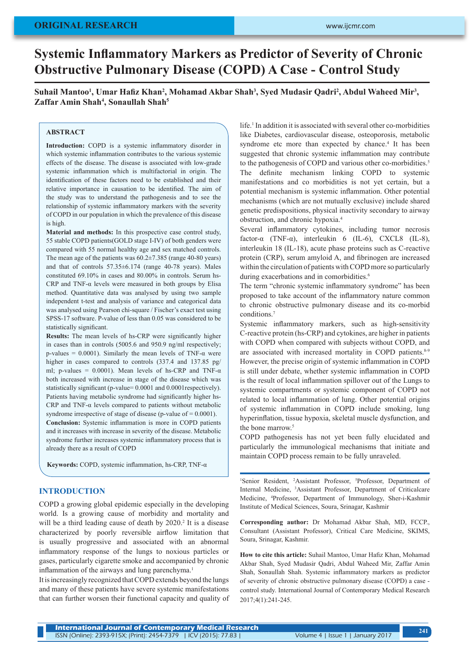# **ORIGINAL RESEARCH**

# **Systemic Inflammatory Markers as Predictor of Severity of Chronic Obstructive Pulmonary Disease (COPD) A Case - Control Study**

**Suhail Mantoo<sup>1</sup> , Umar Hafiz Khan<sup>2</sup> , Mohamad Akbar Shah<sup>3</sup> , Syed Mudasir Qadri<sup>2</sup> , Abdul Waheed Mir<sup>3</sup> , Zaffar Amin Shah<sup>4</sup> , Sonaullah Shah<sup>5</sup>**

## **ABSTRACT**

**Introduction:** COPD is a systemic inflammatory disorder in which systemic inflammation contributes to the various systemic effects of the disease. The disease is associated with low-grade systemic inflammation which is multifactorial in origin. The identification of these factors need to be established and their relative importance in causation to be identified. The aim of the study was to understand the pathogenesis and to see the relationship of systemic inflammatory markers with the severity of COPD in our population in which the prevalence of this disease is high.

**Material and methods:** In this prospective case control study, 55 stable COPD patients(GOLD stage I-IV) of both genders were compared with 55 normal healthy age and sex matched controls. The mean age of the patients was 60.2±7.385 (range 40-80 years) and that of controls 57.35±6.174 (range 40-78 years). Males constituted 69.10% in cases and 80.00% in controls. Serum hs-CRP and TNF- $\alpha$  levels were measured in both groups by Elisa method. Quantitative data was analysed by using two sample independent t-test and analysis of variance and categorical data was analysed using Pearson chi-square / Fischer's exact test using SPSS-17 software. P-value of less than 0.05 was considered to be statistically significant.

**Results:** The mean levels of hs-CRP were significantly higher in cases than in controls (5005.6 and 950.9 ng/ml respectively; p-values = 0.0001). Similarly the mean levels of TNF- $\alpha$  were higher in cases compared to controls (337.4 and 137.85 pg/ ml; p-values = 0.0001). Mean levels of hs-CRP and TNF- $\alpha$ both increased with increase in stage of the disease which was statistically significant (p-value= 0.0001 and 0.0001respectively). Patients having metabolic syndrome had significantly higher hs-CRP and TNF-α levels compared to patients without metabolic syndrome irrespective of stage of disease (p-value of = 0.0001). **Conclusion:** Systemic inflammation is more in COPD patients

and it increases with increase in severity of the disease. Metabolic syndrome further increases systemic inflammatory process that is already there as a result of COPD

**Keywords:** COPD, systemic inflammation, hs-CRP, TNF-α

## **INTRODUCTION**

COPD a growing global epidemic especially in the developing world. Is a growing cause of morbidity and mortality and will be a third leading cause of death by 2020.<sup>2</sup> It is a disease characterized by poorly reversible airflow limitation that is usually progressive and associated with an abnormal inflammatory response of the lungs to noxious particles or gases, particularly cigarette smoke and accompanied by chronic inflammation of the airways and lung parenchyma.<sup>1</sup>

It is increasingly recognized that COPD extends beyond the lungs and many of these patients have severe systemic manifestations that can further worsen their functional capacity and quality of

life.<sup>1</sup> In addition it is associated with several other co-morbidities like Diabetes, cardiovascular disease, osteoporosis, metabolic syndrome etc more than expected by chance.<sup>4</sup> It has been suggested that chronic systemic inflammation may contribute to the pathogenesis of COPD and various other co-morbidities.<sup>5</sup> The definite mechanism linking COPD to systemic manifestations and co morbidities is not yet certain, but a potential mechanism is systemic inflammation. Other potential mechanisms (which are not mutually exclusive) include shared genetic predispositions, physical inactivity secondary to airway obstruction, and chronic hypoxia.4

Several inflammatory cytokines, including tumor necrosis factor-α (TNF-α), interleukin 6 (IL-6), CXCL8 (IL-8), interleukin 18 (IL-18), acute phase proteins such as C-reactive protein (CRP), serum amyloid A, and fibrinogen are increased within the circulation of patients with COPD more so particularly during exacerbations and in comorbidities.<sup>6</sup>

The term "chronic systemic inflammatory syndrome" has been proposed to take account of the inflammatory nature common to chronic obstructive pulmonary disease and its co-morbid conditions.7

Systemic inflammatory markers, such as high-sensitivity C-reactive protein (hs-CRP) and cytokines, are higher in patients with COPD when compared with subjects without COPD, and are associated with increased mortality in COPD patients.<sup>8-9</sup> However, the precise origin of systemic inflammation in COPD is still under debate, whether systemic inflammation in COPD is the result of local inflammation spillover out of the Lungs to systemic compartments or systemic component of COPD not related to local inflammation of lung. Other potential origins of systemic inflammation in COPD include smoking, lung hyperinflation, tissue hypoxia, skeletal muscle dysfunction, and the bone marrow.<sup>5</sup>

COPD pathogenesis has not yet been fully elucidated and particularly the immunological mechanisms that initiate and maintain COPD process remain to be fully unraveled.

<sup>1</sup>Senior Resident, <sup>2</sup>Assistant Professor, <sup>5</sup>Professor, Department of Internal Medicine, 3 Assistant Professor, Department of Criticalcare Medicine, 4 Professor, Department of Immunology, Sher-i-Kashmir Institute of Medical Sciences, Soura, Srinagar, Kashmir

**Corresponding author:** Dr Mohamad Akbar Shah, MD, FCCP., Consultant (Assistant Professor), Critical Care Medicine, SKIMS, Soura, Srinagar, Kashmir.

**How to cite this article:** Suhail Mantoo, Umar Hafiz Khan, Mohamad Akbar Shah, Syed Mudasir Qadri, Abdul Waheed Mir, Zaffar Amin Shah, Sonaullah Shah. Systemic inflammatory markers as predictor of severity of chronic obstructive pulmonary disease (COPD) a case control study. International Journal of Contemporary Medical Research 2017;4(1):241-245.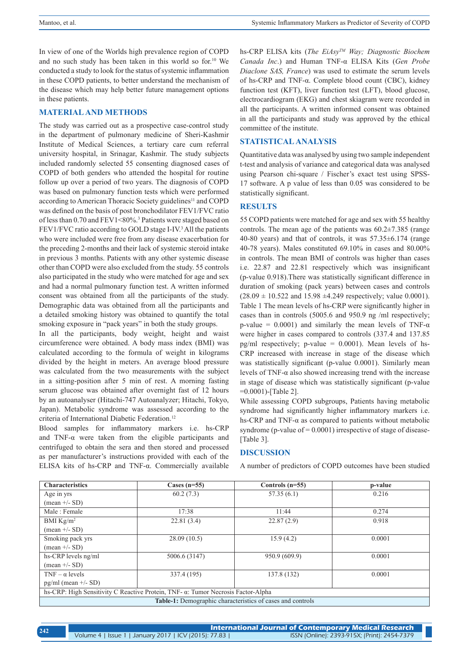In view of one of the Worlds high prevalence region of COPD and no such study has been taken in this world so for.10 We conducted a study to look for the status of systemic inflammation in these COPD patients, to better understand the mechanism of the disease which may help better future management options in these patients.

### **MATERIAL AND METHODS**

The study was carried out as a prospective case-control study in the department of pulmonary medicine of Sheri-Kashmir Institute of Medical Sciences, a tertiary care cum referral university hospital, in Srinagar, Kashmir. The study subjects included randomly selected 55 consenting diagnosed cases of COPD of both genders who attended the hospital for routine follow up over a period of two years. The diagnosis of COPD was based on pulmonary function tests which were performed according to American Thoracic Society guidelines<sup>11</sup> and COPD was defined on the basis of post bronchodilator FEV1/FVC ratio of less than 0.70 and FEV1<80%.3 Patients were staged based on FEV1/FVC ratio according to GOLD stage I-IV.<sup>3</sup> All the patients who were included were free from any disease exacerbation for the preceding 2-months and their lack of systemic steroid intake in previous 3 months. Patients with any other systemic disease other than COPD were also excluded from the study. 55 controls also participated in the study who were matched for age and sex and had a normal pulmonary function test. A written informed consent was obtained from all the participants of the study. Demographic data was obtained from all the participants and a detailed smoking history was obtained to quantify the total smoking exposure in "pack years" in both the study groups.

In all the participants, body weight, height and waist circumference were obtained. A body mass index (BMI) was calculated according to the formula of weight in kilograms divided by the height in meters. An average blood pressure was calculated from the two measurements with the subject in a sitting-position after 5 min of rest. A morning fasting serum glucose was obtained after overnight fast of 12 hours by an autoanalyser (Hitachi-747 Autoanalyzer; Hitachi, Tokyo, Japan). Metabolic syndrome was assessed according to the criteria of International Diabetic Federation.<sup>12</sup>

Blood samples for inflammatory markers i.e. hs-CRP and TNF-α were taken from the eligible participants and centrifuged to obtain the sera and then stored and processed as per manufacturer's instructions provided with each of the ELISA kits of hs-CRP and TNF-α. Commercially available hs-CRP ELISA kits (*The EiAsyTM Way; Diagnostic Biochem Canada Inc*.) and Human TNF-α ELISA Kits (*Gen Probe Diaclone SAS, France*) was used to estimate the serum levels of hs-CRP and TNF-α. Complete blood count (CBC), kidney function test (KFT), liver function test (LFT), blood glucose, electrocardiogram (EKG) and chest skiagram were recorded in all the participants. A written informed consent was obtained in all the participants and study was approved by the ethical committee of the institute.

# **STATISTICAL ANALYSIS**

Quantitative data was analysed by using two sample independent t-test and analysis of variance and categorical data was analysed using Pearson chi-square / Fischer's exact test using SPSS-17 software. A p value of less than 0.05 was considered to be statistically significant.

# **RESULTS**

55 COPD patients were matched for age and sex with 55 healthy controls. The mean age of the patients was  $60.2 \pm 7.385$  (range 40-80 years) and that of controls, it was 57.35±6.174 (range 40-78 years). Males constituted 69.10% in cases and 80.00% in controls. The mean BMI of controls was higher than cases i.e. 22.87 and 22.81 respectively which was insignificant (p-value 0.918).There was statistically significant difference in duration of smoking (pack years) between cases and controls  $(28.09 \pm 10.522$  and  $15.98 \pm 4.249$  respectively; value 0.0001). Table 1 The mean levels of hs-CRP were significantly higher in cases than in controls (5005.6 and 950.9 ng /ml respectively; p-value = 0.0001) and similarly the mean levels of TNF- $\alpha$ were higher in cases compared to controls (337.4 and 137.85 pg/ml respectively; p-value =  $0.0001$ ). Mean levels of hs-CRP increased with increase in stage of the disease which was statistically significant (p-value 0.0001). Similarly mean levels of TNF-α also showed increasing trend with the increase in stage of disease which was statistically significant (p-value =0.0001)-[Table 2].

While assessing COPD subgroups, Patients having metabolic syndrome had significantly higher inflammatory markers i.e. hs-CRP and TNF-α as compared to patients without metabolic syndrome (p-value of  $= 0.0001$ ) irrespective of stage of disease-[Table 3].

### **DISCUSSION**

A number of predictors of COPD outcomes have been studied

| <b>Characteristics</b>                                                           | Cases $(n=55)$ | Controls $(n=55)$                                                 | p-value |  |  |  |  |
|----------------------------------------------------------------------------------|----------------|-------------------------------------------------------------------|---------|--|--|--|--|
| Age in yrs                                                                       | 60.2(7.3)      | 57.35(6.1)                                                        | 0.216   |  |  |  |  |
| $(\text{mean} +/- SD)$                                                           |                |                                                                   |         |  |  |  |  |
| Male: Female                                                                     | 17:38          | 11:44                                                             | 0.274   |  |  |  |  |
| BMI $Kg/m2$                                                                      | 22.81(3.4)     | 22.87(2.9)                                                        | 0.918   |  |  |  |  |
| $(\text{mean} +/- SD)$                                                           |                |                                                                   |         |  |  |  |  |
| Smoking pack yrs                                                                 | 28.09(10.5)    | 15.9(4.2)                                                         | 0.0001  |  |  |  |  |
| $(\text{mean} +/- SD)$                                                           |                |                                                                   |         |  |  |  |  |
| hs-CRP levels ng/ml                                                              | 5006.6 (3147)  | 950.9 (609.9)                                                     | 0.0001  |  |  |  |  |
| $(\text{mean} +/- SD)$                                                           |                |                                                                   |         |  |  |  |  |
| TNF – $\alpha$ levels                                                            | 337.4 (195)    | 137.8 (132)                                                       | 0.0001  |  |  |  |  |
| $pg/ml$ (mean $+/-$ SD)                                                          |                |                                                                   |         |  |  |  |  |
| hs-CRP: High Sensitivity C Reactive Protein, TNF- α: Tumor Necrosis Factor-Alpha |                |                                                                   |         |  |  |  |  |
|                                                                                  |                | <b>Table-1:</b> Demographic characteristics of cases and controls |         |  |  |  |  |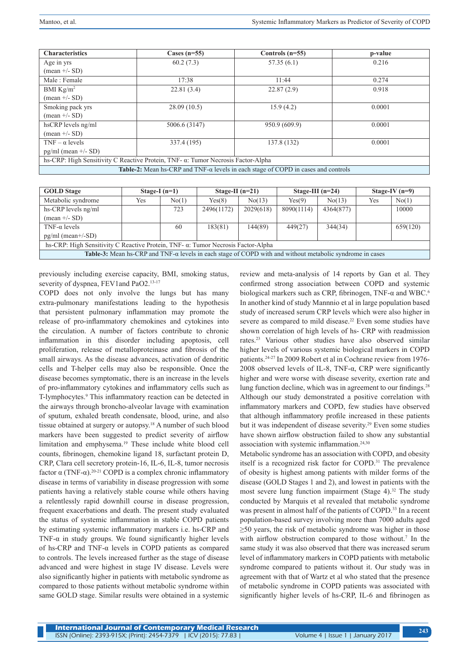| <b>Characteristics</b>                                                                           | Cases $(n=55)$                                                                   | Controls $(n=55)$ | p-value |  |  |  |
|--------------------------------------------------------------------------------------------------|----------------------------------------------------------------------------------|-------------------|---------|--|--|--|
| Age in yrs                                                                                       | 60.2(7.3)                                                                        | 57.35(6.1)        | 0.216   |  |  |  |
| $(\text{mean} +/- SD)$                                                                           |                                                                                  |                   |         |  |  |  |
| Male: Female                                                                                     | 17:38                                                                            | 11:44             | 0.274   |  |  |  |
| BMI $Kg/m^2$                                                                                     | 22.81(3.4)                                                                       | 22.87(2.9)        | 0.918   |  |  |  |
| $(\text{mean} +/- SD)$                                                                           |                                                                                  |                   |         |  |  |  |
| Smoking pack yrs                                                                                 | 28.09(10.5)                                                                      | 15.9(4.2)         | 0.0001  |  |  |  |
| $(\text{mean} +/- SD)$                                                                           |                                                                                  |                   |         |  |  |  |
| hsCRP levels ng/ml                                                                               | 5006.6 (3147)                                                                    | 950.9 (609.9)     | 0.0001  |  |  |  |
| $(\text{mean} +/- SD)$                                                                           |                                                                                  |                   |         |  |  |  |
| TNF – $\alpha$ levels                                                                            | 337.4 (195)                                                                      | 137.8 (132)       | 0.0001  |  |  |  |
| $pg/ml$ (mean $+/-$ SD)                                                                          |                                                                                  |                   |         |  |  |  |
|                                                                                                  | hs-CRP: High Sensitivity C Reactive Protein, TNF- α: Tumor Necrosis Factor-Alpha |                   |         |  |  |  |
| <b>Table-2:</b> Mean hs-CRP and TNF- $\alpha$ levels in each stage of COPD in cases and controls |                                                                                  |                   |         |  |  |  |

| <b>GOLD</b> Stage                                                                                                       | Stage-I $(n=1)$ |       | Stage-II $(n=21)$ |           | Stage-III $(n=24)$ |           | Stage-IV $(n=9)$ |          |  |
|-------------------------------------------------------------------------------------------------------------------------|-----------------|-------|-------------------|-----------|--------------------|-----------|------------------|----------|--|
| Metabolic syndrome                                                                                                      | Yes             | No(1) | Yes(8)            | No(13)    | Yes(9)             | No(13)    | Yes              | No(1)    |  |
| hs-CRP levels ng/ml                                                                                                     |                 | 723   | 2496(1172)        | 2029(618) | 8090(1114)         | 4364(877) |                  | 10000    |  |
| $(\text{mean} +/- SD)$                                                                                                  |                 |       |                   |           |                    |           |                  |          |  |
| TNF- $\alpha$ levels                                                                                                    |                 | 60    | 183(81)           | 144(89)   | 449(27)            | 344(34)   |                  | 659(120) |  |
| $pg/ml$ (mean+/-SD)                                                                                                     |                 |       |                   |           |                    |           |                  |          |  |
| hs-CRP: High Sensitivity C Reactive Protein, TNF- $\alpha$ : Tumor Necrosis Factor-Alpha                                |                 |       |                   |           |                    |           |                  |          |  |
| <b>Table-3:</b> Mean hs-CRP and TNF- $\alpha$ levels in each stage of COPD with and without metabolic syndrome in cases |                 |       |                   |           |                    |           |                  |          |  |

previously including exercise capacity, BMI, smoking status, severity of dyspnea, FEV1and PaO2.<sup>13-17</sup>

COPD does not only involve the lungs but has many extra-pulmonary manifestations leading to the hypothesis that persistent pulmonary inflammation may promote the release of pro-inflammatory chemokines and cytokines into the circulation. A number of factors contribute to chronic inflammation in this disorder including apoptosis, cell proliferation, release of metalloproteinase and fibrosis of the small airways. As the disease advances, activation of dendritic cells and T-helper cells may also be responsible. Once the disease becomes symptomatic, there is an increase in the levels of pro-inflammatory cytokines and inflammatory cells such as T-lymphocytes.<sup>9</sup> This inflammatory reaction can be detected in the airways through broncho-alveolar lavage with examination of sputum, exhaled breath condensate, blood, urine, and also tissue obtained at surgery or autopsy.18 A number of such blood markers have been suggested to predict severity of airflow limitation and emphysema.19 These include white blood cell counts, fibrinogen, chemokine ligand 18, surfactant protein D, CRP, Clara cell secretory protein-16, IL-6, IL-8, tumor necrosis factor α (TNF-α).<sup>20-21</sup> COPD is a complex chronic inflammatory disease in terms of variability in disease progression with some patients having a relatively stable course while others having a relentlessly rapid downhill course in disease progression, frequent exacerbations and death. The present study evaluated the status of systemic inflammation in stable COPD patients by estimating systemic inflammatory markers i.e. hs-CRP and TNF- $\alpha$  in study groups. We found significantly higher levels of hs-CRP and TNF-α levels in COPD patients as compared to controls. The levels increased further as the stage of disease advanced and were highest in stage IV disease. Levels were also significantly higher in patients with metabolic syndrome as compared to those patients without metabolic syndrome within same GOLD stage. Similar results were obtained in a systemic

review and meta-analysis of 14 reports by Gan et al. They confirmed strong association between COPD and systemic biological markers such as CRP, fibrinogen, TNF-α and WBC.<sup>6</sup> In another kind of study Mannnio et al in large population based study of increased serum CRP levels which were also higher in severe as compared to mild disease.<sup>22</sup> Even some studies have shown correlation of high levels of hs- CRP with readmission rates.23 Various other studies have also observed similar higher levels of various systemic biological markers in COPD patients.24-27 In 2009 Robert et al in Cochrane review from 1976- 2008 observed levels of IL-8, TNF- $\alpha$ , CRP were significantly higher and were worse with disease severity, exertion rate and lung function decline, which was in agreement to our findings.<sup>28</sup> Although our study demonstrated a positive correlation with inflammatory markers and COPD, few studies have observed that although inflammatory profile increased in these patients but it was independent of disease severity.29 Even some studies have shown airflow obstruction failed to show any substantial association with systemic inflammation.24,30

Metabolic syndrome has an association with COPD, and obesity itself is a recognized risk factor for COPD.31 The prevalence of obesity is highest among patients with milder forms of the disease (GOLD Stages 1 and 2), and lowest in patients with the most severe lung function impairment (Stage  $4$ ).<sup>32</sup> The study conducted by Marquis et al revealed that metabolic syndrome was present in almost half of the patients of COPD.<sup>33</sup> In a recent population-based survey involving more than 7000 adults aged  $\geq$ 50 years, the risk of metabolic syndrome was higher in those with airflow obstruction compared to those without.<sup>7</sup> In the same study it was also observed that there was increased serum level of inflammatory markers in COPD patients with metabolic syndrome compared to patients without it. Our study was in agreement with that of Wartz et al who stated that the presence of metabolic syndrome in COPD patients was associated with significantly higher levels of hs-CRP, IL-6 and fibrinogen as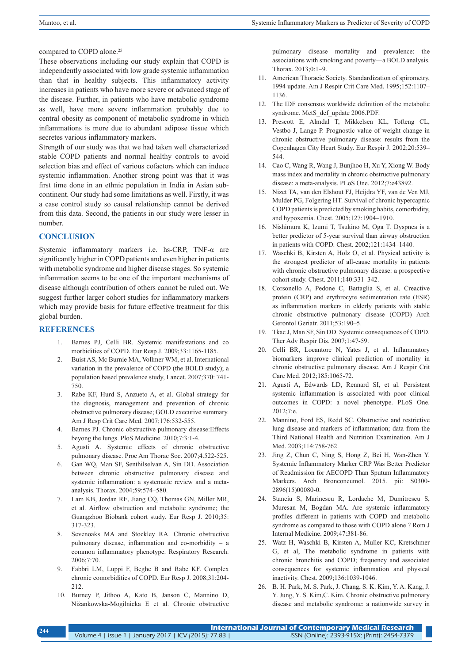compared to COPD alone.<sup>25</sup>

These observations including our study explain that COPD is independently associated with low grade systemic inflammation than that in healthy subjects. This inflammatory activity increases in patients who have more severe or advanced stage of the disease. Further, in patients who have metabolic syndrome as well, have more severe inflammation probably due to central obesity as component of metabolic syndrome in which inflammations is more due to abundant adipose tissue which secretes various inflammatory markers.

Strength of our study was that we had taken well characterized stable COPD patients and normal healthy controls to avoid selection bias and effect of various cofactors which can induce systemic inflammation. Another strong point was that it was first time done in an ethnic population in India in Asian subcontinent. Our study had some limitations as well. Firstly, it was a case control study so causal relationship cannot be derived from this data. Second, the patients in our study were lesser in number.

## **CONCLUSION**

Systemic inflammatory markers i.e. hs-CRP, TNF-α are significantly higher in COPD patients and even higher in patients with metabolic syndrome and higher disease stages. So systemic inflammation seems to be one of the important mechanisms of disease although contribution of others cannot be ruled out. We suggest further larger cohort studies for inflammatory markers which may provide basis for future effective treatment for this global burden.

#### **REFERENCES**

- 1. Barnes PJ, Celli BR. Systemic manifestations and co morbidities of COPD. Eur Resp J. 2009;33:1165-1185.
- 2. Buist AS, Mc Burnie MA, Vollmer WM, et al. International variation in the prevalence of COPD (the BOLD study); a population based prevalence study, Lancet. 2007;370: 741- 750.
- 3. Rabe KF, Hurd S, Anzueto A, et al. Global strategy for the diagnosis, management and prevention of chronic obstructive pulmonary disease; GOLD executive summary. Am J Resp Crit Care Med. 2007;176:532-555.
- 4. Barnes PJ. Chronic obstructive pulmonary disease:Effects beyong the lungs. PloS Medicine. 2010;7:3:1-4.
- 5. Agusti A. Systemic effects of chronic obstructive pulmonary disease. Proc Am Thorac Soc. 2007;4.522-525.
- 6. Gan WQ, Man SF, Senthilselvan A, Sin DD. Association between chronic obstructive pulmonary disease and systemic inflammation: a systematic review and a metaanalysis. Thorax. 2004;59:574–580.
- 7. Lam KB, Jordan RE, Jiang CQ, Thomas GN, Miller MR, et al. Airflow obstruction and metabolic syndrome; the Guangzhoo Biobank cohort study. Eur Resp J. 2010;35: 317-323.
- Sevenoaks MA and Stockley RA. Chronic obstructive pulmonary disease, inflammation and co-morbidity – a common inflammatory phenotype. Respiratory Research. 2006;7:70.
- 9. Fabbri LM, Luppi F, Beghe B and Rabe KF. Complex chronic comorbidities of COPD. Eur Resp J. 2008;31:204- 212.
- 10. Burney P, Jithoo A, Kato B, Janson C, Mannino D, Niżankowska-Mogilnicka E et al. Chronic obstructive

pulmonary disease mortality and prevalence: the associations with smoking and poverty—a BOLD analysis. Thorax. 2013;0:1–9.

- 11. American Thoracic Society. Standardization of spirometry, 1994 update. Am J Respir Crit Care Med. 1995;152:1107– 1136.
- 12. The IDF consensus worldwide definition of the metabolic syndrome. MetS\_def\_update 2006.PDF.
- 13. Prescott E, Almdal T, Mikkelsen KL, Tofteng CL, Vestbo J, Lange P. Prognostic value of weight change in chronic obstructive pulmonary disease: results from the Copenhagen City Heart Study. Eur Respir J. 2002;20:539– 544.
- 14. Cao C, Wang R, Wang J, Bunjhoo H, Xu Y, Xiong W. Body mass index and mortality in chronic obstructive pulmonary disease: a meta-analysis. PLoS One. 2012;7:e43892.
- 15. Nizet TA, van den Elshout FJ, Heijdra YF, van de Ven MJ, Mulder PG, Folgering HT. Survival of chronic hypercapnic COPD patients is predicted by smoking habits, comorbidity, and hypoxemia. Chest. 2005;127:1904–1910.
- 16. Nishimura K, Izumi T, Tsukino M, Oga T. Dyspnea is a better predictor of 5-year survival than airway obstruction in patients with COPD. Chest. 2002;121:1434–1440.
- 17. Waschki B, Kirsten A, Holz O, et al. Physical activity is the strongest predictor of all-cause mortality in patients with chronic obstructive pulmonary disease: a prospective cohort study. Chest. 2011;140:331–342.
- 18. Corsonello A, Pedone C, Battaglia S, et al. Creactive protein (CRP) and erythrocyte sedimentation rate (ESR) as inflammation markers in elderly patients with stable chronic obstructive pulmonary disease (COPD) Arch Gerontol Geriatr. 2011;53:190–5.
- 19. Tkac J, Man SF, Sin DD. Systemic consequences of COPD. Ther Adv Respir Dis. 2007;1:47-59.
- 20. Celli BR, Locantore N, Yates J, et al. Inflammatory biomarkers improve clinical prediction of mortality in chronic obstructive pulmonary disease. Am J Respir Crit Care Med. 2012;185:1065-72.
- 21. Agustí A, Edwards LD, Rennard SI, et al. Persistent systemic inflammation is associated with poor clinical outcomes in COPD: a novel phenotype. PLoS One. 2012;7:e.
- 22. Mannino, Ford ES, Redd SC. Obstructive and restrictive lung disease and markers of inflammation; data from the Third National Health and Nutrition Examination. Am J Med. 2003;114:758-762.
- 23. Jing Z, Chun C, Ning S, Hong Z, Bei H, Wan-Zhen Y. Systemic Inflammatory Marker CRP Was Better Predictor of Readmission for AECOPD Than Sputum Inflammatory Markers. Arch Bronconeumol. 2015. pii: S0300- 2896(15)00080-0.
- 24. Stanciu S, Marinescu R, Lordache M, Dumitrescu S, Muresan M, Bogdan MA. Are systemic inflammatory profiles different in patients with COPD and metabolic syndrome as compared to those with COPD alone ? Rom J Internal Medicine. 2009;47:381-86.
- 25. Watz H, Waschki B, Kirsten A, Muller KC, Kretschmer G, et al, The metabolic syndrome in patients with chronic bronchitis and COPD; frequency and associated consequences for systemic inflammation and physical inactivity. Chest. 2009;136:1039-1046.
- 26. B. H. Park, M. S. Park, J. Chang, S. K. Kim, Y. A. Kang, J. Y. Jung, Y. S. Kim,C. Kim. Chronic obstructive pulmonary disease and metabolic syndrome: a nationwide survey in